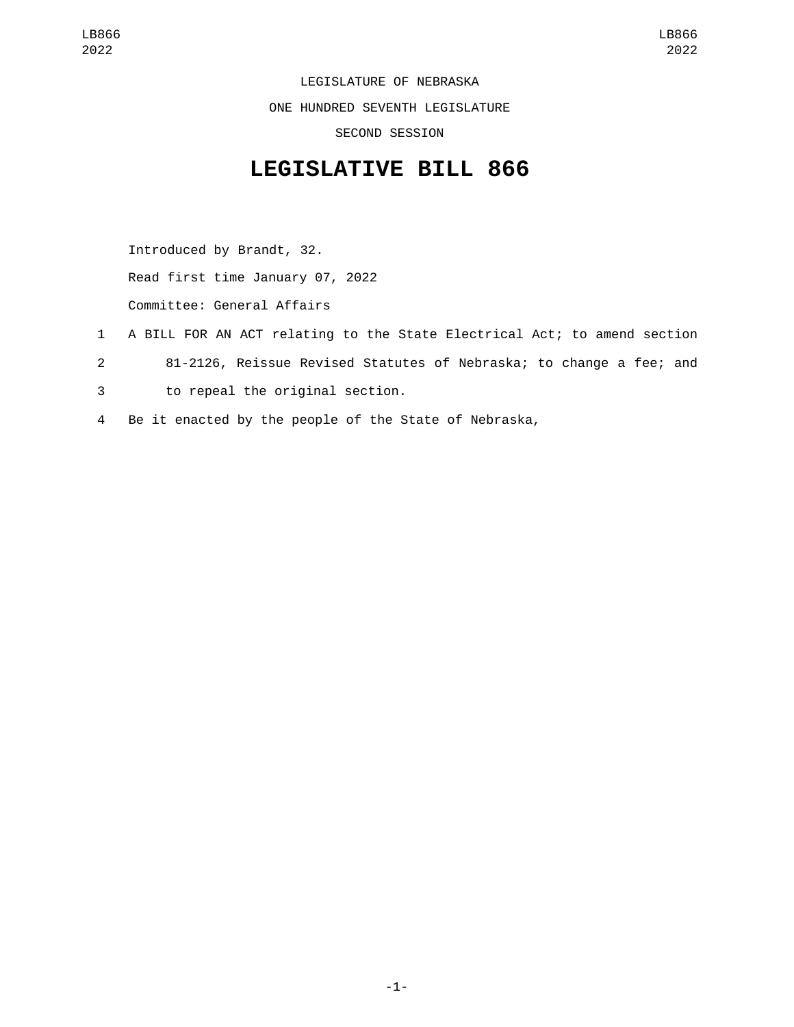LEGISLATURE OF NEBRASKA ONE HUNDRED SEVENTH LEGISLATURE SECOND SESSION

## **LEGISLATIVE BILL 866**

Introduced by Brandt, 32. Read first time January 07, 2022 Committee: General Affairs

- 1 A BILL FOR AN ACT relating to the State Electrical Act; to amend section
- 2 81-2126, Reissue Revised Statutes of Nebraska; to change a fee; and
- to repeal the original section.3
- 4 Be it enacted by the people of the State of Nebraska,